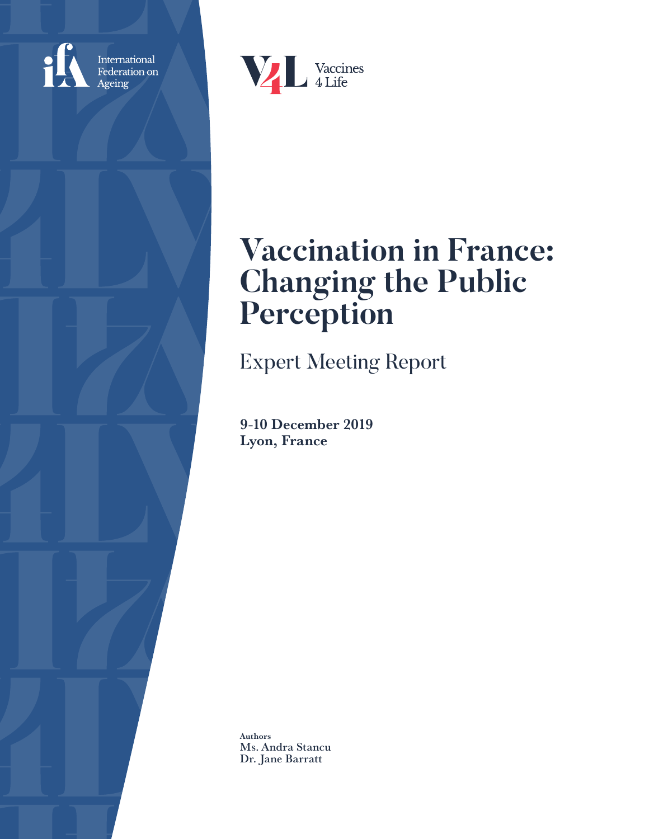

International<br>Federation on Ageing



# **Vaccination in France: Changing the Public Perception**

Expert Meeting Report

9-10 December 2019 Lyon, France

Authors Ms. Andra Stancu Dr. Jane Barratt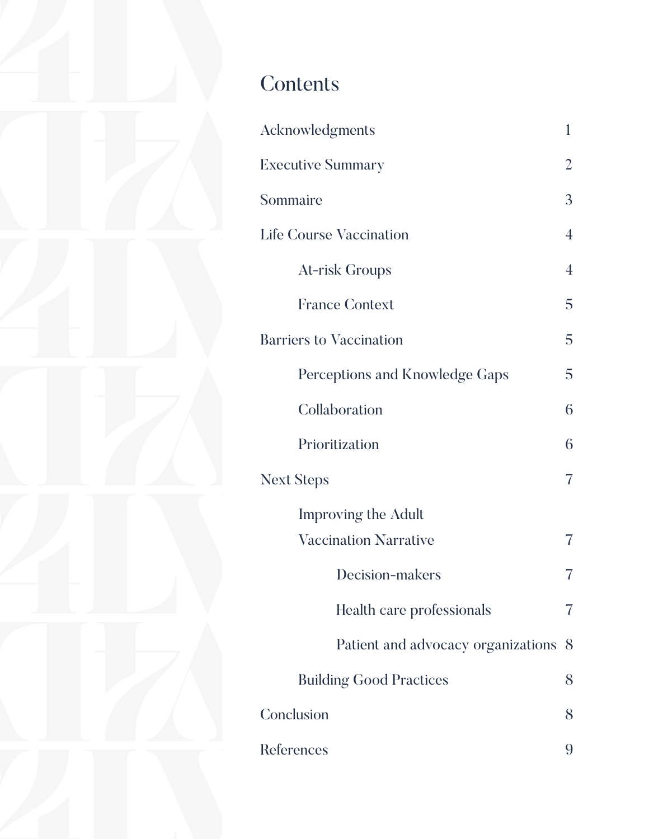## **Contents**

| Acknowledgments                    | 1              |
|------------------------------------|----------------|
| <b>Executive Summary</b>           | 2              |
| Sommaire                           | 3              |
| <b>Life Course Vaccination</b>     | $\overline{4}$ |
| At-risk Groups                     | $\overline{4}$ |
| <b>France Context</b>              | 5              |
| <b>Barriers to Vaccination</b>     | 5              |
| Perceptions and Knowledge Gaps     | 5              |
| Collaboration                      | 6              |
| Prioritization                     | 6              |
| <b>Next Steps</b>                  | 7              |
| <b>Improving the Adult</b>         |                |
| <b>Vaccination Narrative</b>       |                |
| Decision-makers                    |                |
| Health care professionals          |                |
| Patient and advocacy organizations | 8              |
| <b>Building Good Practices</b>     | 8              |
| Conclusion                         | 8              |
| References                         | 9              |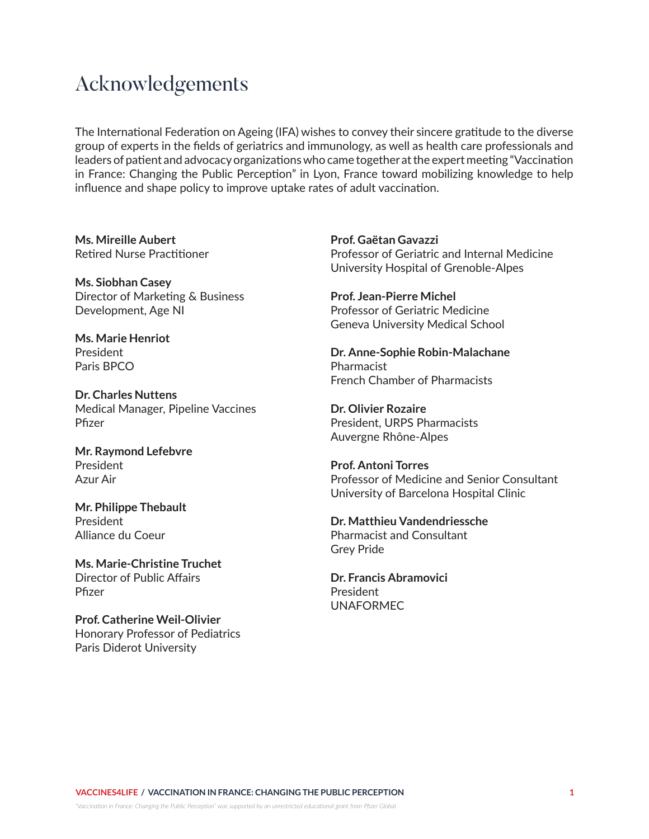## Acknowledgements

The International Federation on Ageing (IFA) wishes to convey their sincere gratitude to the diverse group of experts in the fields of geriatrics and immunology, as well as health care professionals and leaders of patient and advocacy organizations who came together at the expert meeting "Vaccination in France: Changing the Public Perception" in Lyon, France toward mobilizing knowledge to help influence and shape policy to improve uptake rates of adult vaccination.

**Ms. Mireille Aubert** Retired Nurse Practitioner

**Ms. Siobhan Casey** Director of Marketing & Business Development, Age NI

**Ms. Marie Henriot** President Paris BPCO

**Dr. Charles Nuttens** Medical Manager, Pipeline Vaccines Pfizer

**Mr. Raymond Lefebvre** President Azur Air

**Mr. Philippe Thebault** President Alliance du Coeur

**Ms. Marie-Christine Truchet** Director of Public Affairs Pfizer

**Prof. Catherine Weil-Olivier** Honorary Professor of Pediatrics Paris Diderot University

**Prof. Gaëtan Gavazzi** Professor of Geriatric and Internal Medicine University Hospital of Grenoble-Alpes

**Prof. Jean-Pierre Michel** Professor of Geriatric Medicine Geneva University Medical School

**Dr. Anne-Sophie Robin-Malachane** Pharmacist French Chamber of Pharmacists

**Dr. Olivier Rozaire** President, URPS Pharmacists Auvergne Rhône-Alpes

**Prof. Antoni Torres** Professor of Medicine and Senior Consultant University of Barcelona Hospital Clinic

**Dr. Matthieu Vandendriessche** Pharmacist and Consultant Grey Pride

**Dr. Francis Abramovici** President UNAFORMEC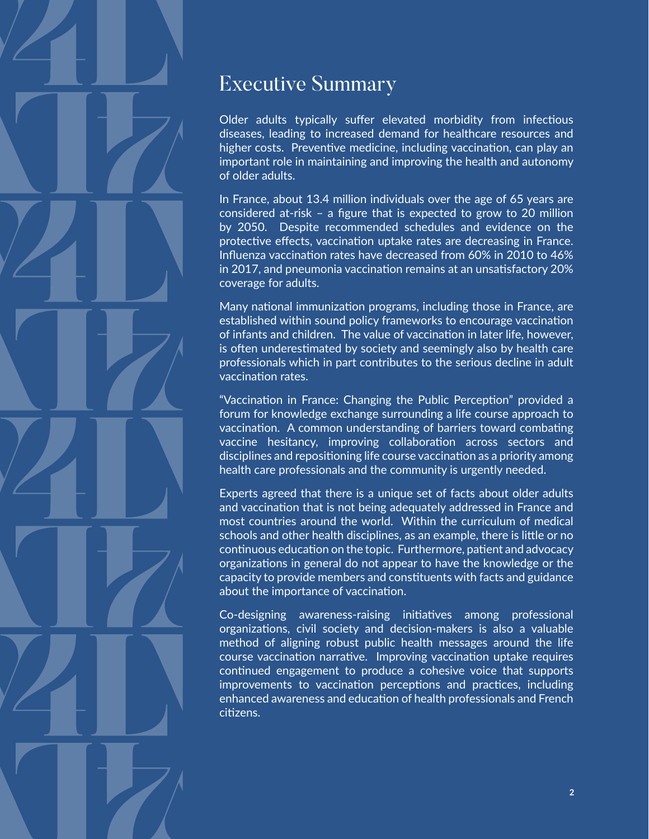## Executive Summary

Older adults typically suffer elevated morbidity from infectious diseases, leading to increased demand for healthcare resources and higher costs. Preventive medicine, including vaccination, can play an important role in maintaining and improving the health and autonomy of older adults.

In France, about 13.4 million individuals over the age of 65 years are considered at-risk – a figure that is expected to grow to 20 million by 2050. Despite recommended schedules and evidence on the protective effects, vaccination uptake rates are decreasing in France. Influenza vaccination rates have decreased from 60% in 2010 to 46% in 2017, and pneumonia vaccination remains at an unsatisfactory 20% coverage for adults.

Many national immunization programs, including those in France, are established within sound policy frameworks to encourage vaccination of infants and children. The value of vaccination in later life, however, is often underestimated by society and seemingly also by health care professionals which in part contributes to the serious decline in adult vaccination rates.

"Vaccination in France: Changing the Public Perception" provided a forum for knowledge exchange surrounding a life course approach to vaccination. A common understanding of barriers toward combating vaccine hesitancy, improving collaboration across sectors and disciplines and repositioning life course vaccination as a priority among health care professionals and the community is urgently needed.

Experts agreed that there is a unique set of facts about older adults and vaccination that is not being adequately addressed in France and most countries around the world. Within the curriculum of medical schools and other health disciplines, as an example, there is little or no continuous education on the topic. Furthermore, patient and advocacy organizations in general do not appear to have the knowledge or the capacity to provide members and constituents with facts and guidance about the importance of vaccination.

Co-designing awareness-raising initiatives among professional organizations, civil society and decision-makers is also a valuable method of aligning robust public health messages around the life course vaccination narrative. Improving vaccination uptake requires continued engagement to produce a cohesive voice that supports improvements to vaccination perceptions and practices, including enhanced awareness and education of health professionals and French citizens.

*"Vaccination in France: Changing the Public Perception" was supported by an unrestricted educational grant from Pfizer Global*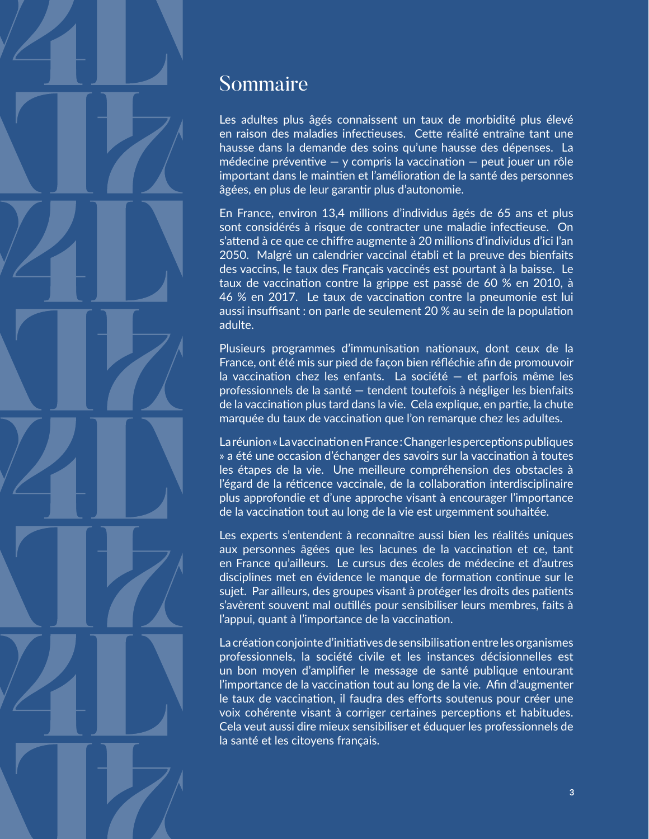

### Sommaire

Les adultes plus âgés connaissent un taux de morbidité plus élevé en raison des maladies infectieuses. Cette réalité entraîne tant une hausse dans la demande des soins qu'une hausse des dépenses. La médecine préventive  $-$  y compris la vaccination  $-$  peut jouer un rôle important dans le maintien et l'amélioration de la santé des personnes âgées, en plus de leur garantir plus d'autonomie.

En France, environ 13,4 millions d'individus âgés de 65 ans et plus sont considérés à risque de contracter une maladie infectieuse. On s'attend à ce que ce chiffre augmente à 20 millions d'individus d'ici l'an 2050. Malgré un calendrier vaccinal établi et la preuve des bienfaits des vaccins, le taux des Français vaccinés est pourtant à la baisse. Le taux de vaccination contre la grippe est passé de 60 % en 2010, à 46 % en 2017. Le taux de vaccination contre la pneumonie est lui aussi insuffisant : on parle de seulement 20 % au sein de la population adulte.

Plusieurs programmes d'immunisation nationaux, dont ceux de la France, ont été mis sur pied de façon bien réfléchie afin de promouvoir la vaccination chez les enfants. La société — et parfois même les professionnels de la santé — tendent toutefois à négliger les bienfaits de la vaccination plus tard dans la vie. Cela explique, en partie, la chute marquée du taux de vaccination que l'on remarque chez les adultes.

La réunion « La vaccination en France : Changer les perceptions publiques » a été une occasion d'échanger des savoirs sur la vaccination à toutes les étapes de la vie. Une meilleure compréhension des obstacles à l'égard de la réticence vaccinale, de la collaboration interdisciplinaire plus approfondie et d'une approche visant à encourager l'importance de la vaccination tout au long de la vie est urgemment souhaitée.

Les experts s'entendent à reconnaître aussi bien les réalités uniques aux personnes âgées que les lacunes de la vaccination et ce, tant en France qu'ailleurs. Le cursus des écoles de médecine et d'autres disciplines met en évidence le manque de formation continue sur le sujet. Par ailleurs, des groupes visant à protéger les droits des patients s'avèrent souvent mal outillés pour sensibiliser leurs membres, faits à l'appui, quant à l'importance de la vaccination.

La création conjointe d'initiatives de sensibilisation entre les organismes professionnels, la société civile et les instances décisionnelles est un bon moyen d'amplifier le message de santé publique entourant l'importance de la vaccination tout au long de la vie. Afin d'augmenter le taux de vaccination, il faudra des efforts soutenus pour créer une voix cohérente visant à corriger certaines perceptions et habitudes. Cela veut aussi dire mieux sensibiliser et éduquer les professionnels de la santé et les citoyens français.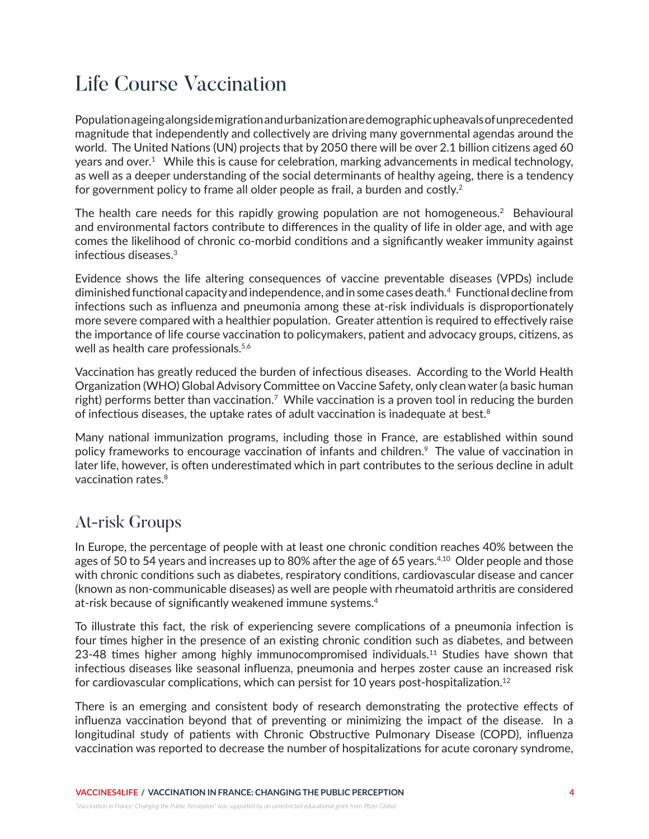## Life Course Vaccination

Population ageing alongside migration and urbanization are demographic upheavals of unprecedented magnitude that independently and collectively are driving many governmental agendas around the world. The United Nations (UN) projects that by 2050 there will be over 2.1 billion citizens aged 60 years and over.<sup>1</sup> While this is cause for celebration, marking advancements in medical technology, as well as a deeper understanding of the social determinants of healthy ageing, there is a tendency for government policy to frame all older people as frail, a burden and costly.<sup>2</sup>

The health care needs for this rapidly growing population are not homogeneous.<sup>2</sup> Behavioural and environmental factors contribute to differences in the quality of life in older age, and with age comes the likelihood of chronic co-morbid conditions and a significantly weaker immunity against infectious diseases.3

Evidence shows the life altering consequences of vaccine preventable diseases (VPDs) include diminished functional capacity and independence, and in some cases death.4 Functional decline from infections such as influenza and pneumonia among these at-risk individuals is disproportionately more severe compared with a healthier population. Greater attention is required to effectively raise the importance of life course vaccination to policymakers, patient and advocacy groups, citizens, as well as health care professionals.<sup>5,6</sup>

Vaccination has greatly reduced the burden of infectious diseases. According to the World Health Organization (WHO) Global Advisory Committee on Vaccine Safety, only clean water (a basic human right) performs better than vaccination.<sup>7</sup> While vaccination is a proven tool in reducing the burden of infectious diseases, the uptake rates of adult vaccination is inadequate at best. $8<sup>8</sup>$ 

Many national immunization programs, including those in France, are established within sound policy frameworks to encourage vaccination of infants and children.<sup>9</sup> The value of vaccination in later life, however, is often underestimated which in part contributes to the serious decline in adult vaccination rates.<sup>8</sup>

#### At-risk Groups

In Europe, the percentage of people with at least one chronic condition reaches 40% between the ages of 50 to 54 years and increases up to 80% after the age of 65 years.<sup>4,10</sup> Older people and those with chronic conditions such as diabetes, respiratory conditions, cardiovascular disease and cancer (known as non-communicable diseases) as well are people with rheumatoid arthritis are considered at-risk because of significantly weakened immune systems.4

To illustrate this fact, the risk of experiencing severe complications of a pneumonia infection is four times higher in the presence of an existing chronic condition such as diabetes, and between 23-48 times higher among highly immunocompromised individuals.<sup>11</sup> Studies have shown that infectious diseases like seasonal influenza, pneumonia and herpes zoster cause an increased risk for cardiovascular complications, which can persist for 10 years post-hospitalization.<sup>12</sup>

There is an emerging and consistent body of research demonstrating the protective effects of influenza vaccination beyond that of preventing or minimizing the impact of the disease. In a longitudinal study of patients with Chronic Obstructive Pulmonary Disease (COPD), influenza vaccination was reported to decrease the number of hospitalizations for acute coronary syndrome,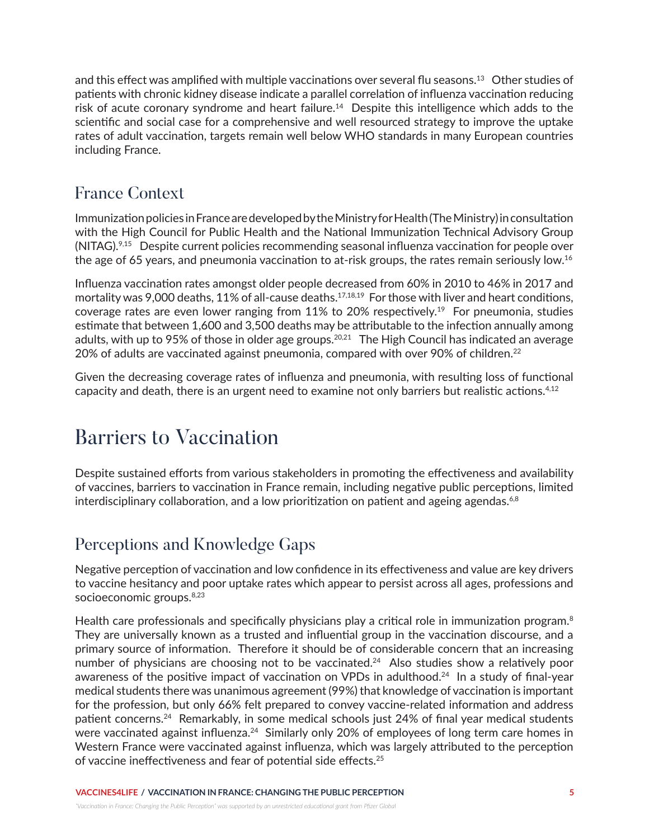and this effect was amplified with multiple vaccinations over several flu seasons.13 Other studies of patients with chronic kidney disease indicate a parallel correlation of influenza vaccination reducing risk of acute coronary syndrome and heart failure.14 Despite this intelligence which adds to the scientific and social case for a comprehensive and well resourced strategy to improve the uptake rates of adult vaccination, targets remain well below WHO standards in many European countries including France.

#### France Context

Immunization policies in France are developed by the Ministry for Health (The Ministry) in consultation with the High Council for Public Health and the National Immunization Technical Advisory Group (NITAG).9,15 Despite current policies recommending seasonal influenza vaccination for people over the age of 65 years, and pneumonia vaccination to at-risk groups, the rates remain seriously low.<sup>16</sup>

Influenza vaccination rates amongst older people decreased from 60% in 2010 to 46% in 2017 and mortality was 9,000 deaths, 11% of all-cause deaths.<sup>17,18,19</sup> For those with liver and heart conditions, coverage rates are even lower ranging from  $11\%$  to 20% respectively.<sup>19</sup> For pneumonia, studies estimate that between 1,600 and 3,500 deaths may be attributable to the infection annually among adults, with up to 95% of those in older age groups.<sup>20,21</sup> The High Council has indicated an average 20% of adults are vaccinated against pneumonia, compared with over 90% of children.<sup>22</sup>

Given the decreasing coverage rates of influenza and pneumonia, with resulting loss of functional capacity and death, there is an urgent need to examine not only barriers but realistic actions. $4,12$ 

## Barriers to Vaccination

Despite sustained efforts from various stakeholders in promoting the effectiveness and availability of vaccines, barriers to vaccination in France remain, including negative public perceptions, limited interdisciplinary collaboration, and a low prioritization on patient and ageing agendas.<sup>6,8</sup>

#### Perceptions and Knowledge Gaps

Negative perception of vaccination and low confidence in its effectiveness and value are key drivers to vaccine hesitancy and poor uptake rates which appear to persist across all ages, professions and socioeconomic groups.<sup>8,23</sup>

Health care professionals and specifically physicians play a critical role in immunization program.<sup>8</sup> They are universally known as a trusted and influential group in the vaccination discourse, and a primary source of information. Therefore it should be of considerable concern that an increasing number of physicians are choosing not to be vaccinated.<sup>24</sup> Also studies show a relatively poor awareness of the positive impact of vaccination on VPDs in adulthood.<sup>24</sup> In a study of final-year medical students there was unanimous agreement (99%) that knowledge of vaccination is important for the profession, but only 66% felt prepared to convey vaccine-related information and address patient concerns.<sup>24</sup> Remarkably, in some medical schools just 24% of final year medical students were vaccinated against influenza.<sup>24</sup> Similarly only 20% of employees of long term care homes in Western France were vaccinated against influenza, which was largely attributed to the perception of vaccine ineffectiveness and fear of potential side effects.25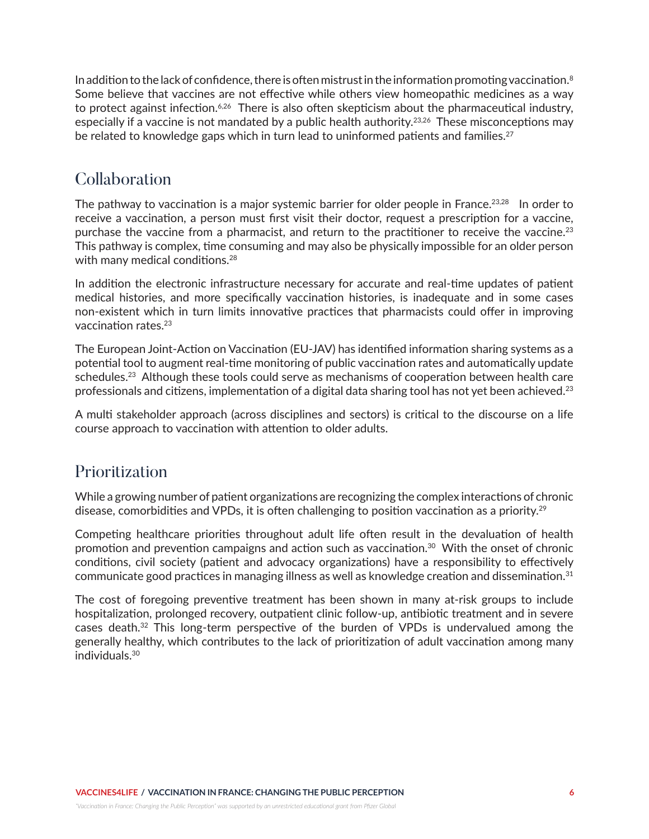In addition to the lack of confidence, there is often mistrust in the information promoting vaccination. $8$ Some believe that vaccines are not effective while others view homeopathic medicines as a way to protect against infection.<sup>6,26</sup> There is also often skepticism about the pharmaceutical industry, especially if a vaccine is not mandated by a public health authority.<sup>23,26</sup> These misconceptions may be related to knowledge gaps which in turn lead to uninformed patients and families.<sup>27</sup>

#### **Collaboration**

The pathway to vaccination is a major systemic barrier for older people in France.<sup>23,28</sup> In order to receive a vaccination, a person must first visit their doctor, request a prescription for a vaccine, purchase the vaccine from a pharmacist, and return to the practitioner to receive the vaccine.<sup>23</sup> This pathway is complex, time consuming and may also be physically impossible for an older person with many medical conditions.<sup>28</sup>

In addition the electronic infrastructure necessary for accurate and real-time updates of patient medical histories, and more specifically vaccination histories, is inadequate and in some cases non-existent which in turn limits innovative practices that pharmacists could offer in improving vaccination rates.23

The European Joint-Action on Vaccination (EU-JAV) has identified information sharing systems as a potential tool to augment real-time monitoring of public vaccination rates and automatically update schedules.<sup>23</sup> Although these tools could serve as mechanisms of cooperation between health care professionals and citizens, implementation of a digital data sharing tool has not yet been achieved.<sup>23</sup>

A multi stakeholder approach (across disciplines and sectors) is critical to the discourse on a life course approach to vaccination with attention to older adults.

#### Prioritization

While a growing number of patient organizations are recognizing the complex interactions of chronic disease, comorbidities and VPDs, it is often challenging to position vaccination as a priority.<sup>29</sup>

Competing healthcare priorities throughout adult life often result in the devaluation of health promotion and prevention campaigns and action such as vaccination. $30\,$  With the onset of chronic conditions, civil society (patient and advocacy organizations) have a responsibility to effectively communicate good practices in managing illness as well as knowledge creation and dissemination.<sup>31</sup>

The cost of foregoing preventive treatment has been shown in many at-risk groups to include hospitalization, prolonged recovery, outpatient clinic follow-up, antibiotic treatment and in severe cases death.<sup>32</sup> This long-term perspective of the burden of VPDs is undervalued among the generally healthy, which contributes to the lack of prioritization of adult vaccination among many individuals.30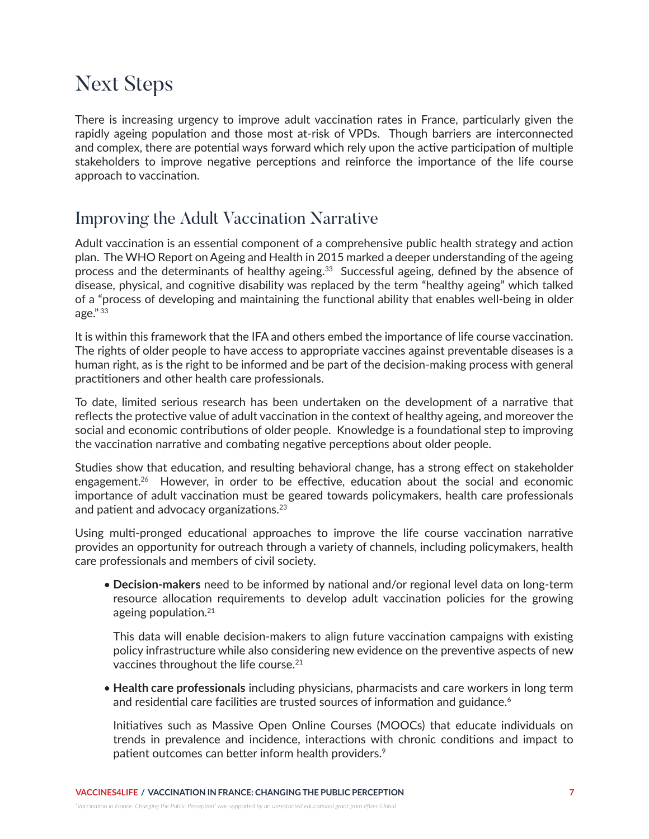## Next Steps

There is increasing urgency to improve adult vaccination rates in France, particularly given the rapidly ageing population and those most at-risk of VPDs. Though barriers are interconnected and complex, there are potential ways forward which rely upon the active participation of multiple stakeholders to improve negative perceptions and reinforce the importance of the life course approach to vaccination.

#### Improving the Adult Vaccination Narrative

Adult vaccination is an essential component of a comprehensive public health strategy and action plan. The WHO Report on Ageing and Health in 2015 marked a deeper understanding of the ageing process and the determinants of healthy ageing.<sup>33</sup> Successful ageing, defined by the absence of disease, physical, and cognitive disability was replaced by the term "healthy ageing" which talked of a "process of developing and maintaining the functional ability that enables well-being in older age." 33

It is within this framework that the IFA and others embed the importance of life course vaccination. The rights of older people to have access to appropriate vaccines against preventable diseases is a human right, as is the right to be informed and be part of the decision-making process with general practitioners and other health care professionals.

To date, limited serious research has been undertaken on the development of a narrative that reflects the protective value of adult vaccination in the context of healthy ageing, and moreover the social and economic contributions of older people. Knowledge is a foundational step to improving the vaccination narrative and combating negative perceptions about older people.

Studies show that education, and resulting behavioral change, has a strong effect on stakeholder engagement.<sup>26</sup> However, in order to be effective, education about the social and economic importance of adult vaccination must be geared towards policymakers, health care professionals and patient and advocacy organizations.<sup>23</sup>

Using multi-pronged educational approaches to improve the life course vaccination narrative provides an opportunity for outreach through a variety of channels, including policymakers, health care professionals and members of civil society.

• **Decision-makers** need to be informed by national and/or regional level data on long-term resource allocation requirements to develop adult vaccination policies for the growing ageing population.21

This data will enable decision-makers to align future vaccination campaigns with existing policy infrastructure while also considering new evidence on the preventive aspects of new vaccines throughout the life course.<sup>21</sup>

• **Health care professionals** including physicians, pharmacists and care workers in long term and residential care facilities are trusted sources of information and guidance.<sup>6</sup>

Initiatives such as Massive Open Online Courses (MOOCs) that educate individuals on trends in prevalence and incidence, interactions with chronic conditions and impact to patient outcomes can better inform health providers.<sup>9</sup>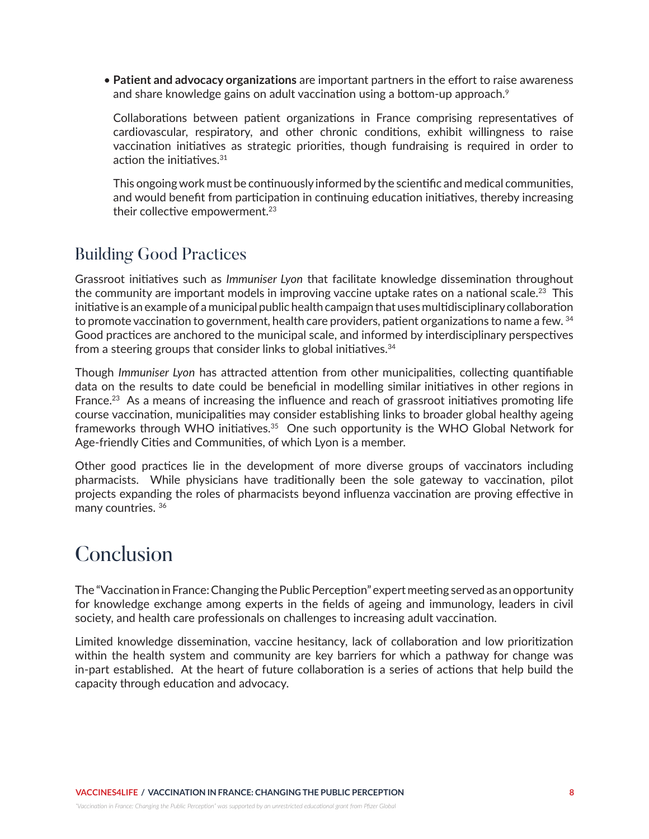• **Patient and advocacy organizations** are important partners in the effort to raise awareness and share knowledge gains on adult vaccination using a bottom-up approach.<sup>9</sup>

Collaborations between patient organizations in France comprising representatives of cardiovascular, respiratory, and other chronic conditions, exhibit willingness to raise vaccination initiatives as strategic priorities, though fundraising is required in order to action the initiatives.31

This ongoing work must be continuously informed by the scientific and medical communities, and would benefit from participation in continuing education initiatives, thereby increasing their collective empowerment.<sup>23</sup>

#### Building Good Practices

Grassroot initiatives such as *Immuniser Lyon* that facilitate knowledge dissemination throughout the community are important models in improving vaccine uptake rates on a national scale.<sup>23</sup> This initiative is an example of a municipal public health campaign that uses multidisciplinary collaboration to promote vaccination to government, health care providers, patient organizations to name a few. 34 Good practices are anchored to the municipal scale, and informed by interdisciplinary perspectives from a steering groups that consider links to global initiatives.<sup>34</sup>

Though *Immuniser Lyon* has attracted attention from other municipalities, collecting quantifiable data on the results to date could be beneficial in modelling similar initiatives in other regions in France.<sup>23</sup> As a means of increasing the influence and reach of grassroot initiatives promoting life course vaccination, municipalities may consider establishing links to broader global healthy ageing frameworks through WHO initiatives.<sup>35</sup> One such opportunity is the WHO Global Network for Age-friendly Cities and Communities, of which Lyon is a member.

Other good practices lie in the development of more diverse groups of vaccinators including pharmacists. While physicians have traditionally been the sole gateway to vaccination, pilot projects expanding the roles of pharmacists beyond influenza vaccination are proving effective in many countries. 36

## Conclusion

The "Vaccination in France: Changing the Public Perception" expert meeting served as an opportunity for knowledge exchange among experts in the fields of ageing and immunology, leaders in civil society, and health care professionals on challenges to increasing adult vaccination.

Limited knowledge dissemination, vaccine hesitancy, lack of collaboration and low prioritization within the health system and community are key barriers for which a pathway for change was in-part established. At the heart of future collaboration is a series of actions that help build the capacity through education and advocacy.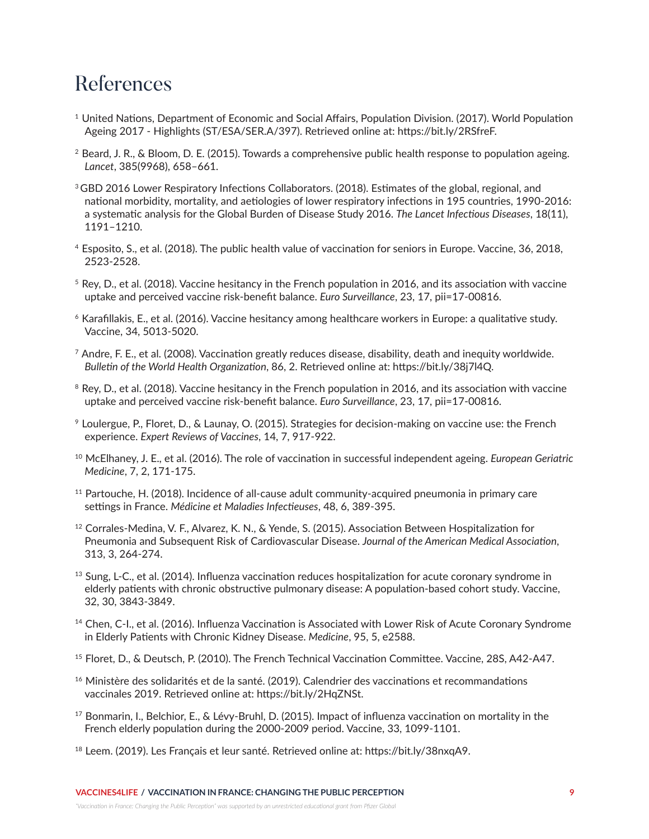## **References**

- <sup>1</sup> United Nations, Department of Economic and Social Affairs, Population Division. (2017). World Population Ageing 2017 - Highlights (ST/ESA/SER.A/397). Retrieved online at: https://bit.ly/2RSfreF.
- 2 Beard, J. R., & Bloom, D. E. (2015). Towards a comprehensive public health response to population ageing. *Lancet*, 385(9968), 658–661.
- <sup>3</sup> GBD 2016 Lower Respiratory Infections Collaborators. (2018). Estimates of the global, regional, and national morbidity, mortality, and aetiologies of lower respiratory infections in 195 countries, 1990-2016: a systematic analysis for the Global Burden of Disease Study 2016. *The Lancet Infectious Diseases*, 18(11), 1191–1210.
- 4 Esposito, S., et al. (2018). The public health value of vaccination for seniors in Europe. Vaccine, 36, 2018, 2523-2528.
- $5$  Rey, D., et al. (2018). Vaccine hesitancy in the French population in 2016, and its association with vaccine uptake and perceived vaccine risk-benefit balance. *Euro Surveillance*, 23, 17, pii=17-00816.
- 6 Karafillakis, E., et al. (2016). Vaccine hesitancy among healthcare workers in Europe: a qualitative study. Vaccine, 34, 5013-5020.
- $^7$  Andre, F. E., et al. (2008). Vaccination greatly reduces disease, disability, death and inequity worldwide. *Bulletin of the World Health Organization*, 86, 2. Retrieved online at: https://bit.ly/38j7l4Q.
- $8$  Rey, D., et al. (2018). Vaccine hesitancy in the French population in 2016, and its association with vaccine uptake and perceived vaccine risk-benefit balance. *Euro Surveillance*, 23, 17, pii=17-00816.
- <sup>9</sup>Loulergue, P., Floret, D., & Launay, O. (2015). Strategies for decision-making on vaccine use: the French experience. *Expert Reviews of Vaccines*, 14, 7, 917-922.
- 10 McElhaney, J. E., et al. (2016). The role of vaccination in successful independent ageing. *European Geriatric Medicine*, 7, 2, 171-175.
- $11$  Partouche, H. (2018). Incidence of all-cause adult community-acquired pneumonia in primary care settings in France. *Médicine et Maladies Infectieuses*, 48, 6, 389-395.
- 12 Corrales-Medina, V. F., Alvarez, K. N., & Yende, S. (2015). Association Between Hospitalization for Pneumonia and Subsequent Risk of Cardiovascular Disease. *Journal of the American Medical Association*, 313, 3, 264-274.
- $^{13}$  Sung, L-C., et al. (2014). Influenza vaccination reduces hospitalization for acute coronary syndrome in elderly patients with chronic obstructive pulmonary disease: A population-based cohort study. Vaccine, 32, 30, 3843-3849.
- <sup>14</sup> Chen, C-I., et al. (2016). Influenza Vaccination is Associated with Lower Risk of Acute Coronary Syndrome in Elderly Patients with Chronic Kidney Disease. *Medicine*, 95, 5, e2588.
- 15 Floret, D., & Deutsch, P. (2010). The French Technical Vaccination Committee. Vaccine, 28S, A42-A47.
- <sup>16</sup> Ministère des solidarités et de la santé. (2019). Calendrier des vaccinations et recommandations vaccinales 2019. Retrieved online at: https://bit.ly/2HqZNSt.
- $17$  Bonmarin, I., Belchior, E., & Lévy-Bruhl, D. (2015). Impact of influenza vaccination on mortality in the French elderly population during the 2000-2009 period. Vaccine, 33, 1099-1101.
- <sup>18</sup> Leem. (2019). Les Français et leur santé. Retrieved online at: https://bit.ly/38nxqA9.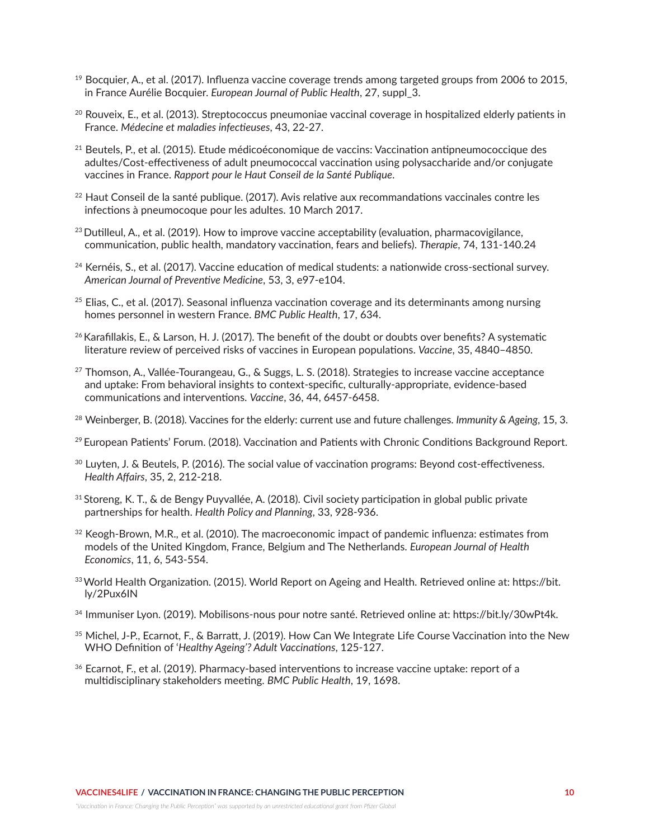- 19 Bocquier, A., et al. (2017). Influenza vaccine coverage trends among targeted groups from 2006 to 2015, in France Aurélie Bocquier. *European Journal of Public Health*, 27, suppl\_3.
- $20$  Rouveix, E., et al. (2013). Streptococcus pneumoniae vaccinal coverage in hospitalized elderly patients in France. *Médecine et maladies infectieuses*, 43, 22-27.
- 21 Beutels, P., et al. (2015). Etude médicoéconomique de vaccins: Vaccination antipneumococcique des adultes/Cost-effectiveness of adult pneumococcal vaccination using polysaccharide and/or conjugate vaccines in France. *Rapport pour le Haut Conseil de la Santé Publique*.
- $22$  Haut Conseil de la santé publique. (2017). Avis relative aux recommandations vaccinales contre les infections à pneumocoque pour les adultes. 10 March 2017.
- $23$  Dutilleul, A., et al. (2019). How to improve vaccine acceptability (evaluation, pharmacovigilance, communication, public health, mandatory vaccination, fears and beliefs). *Therapie*, 74, 131-140.24
- <sup>24</sup> Kernéis, S., et al. (2017). Vaccine education of medical students: a nationwide cross-sectional survey. *American Journal of Preventive Medicine*, 53, 3, e97-e104.
- $25$  Elias, C., et al. (2017). Seasonal influenza vaccination coverage and its determinants among nursing homes personnel in western France. *BMC Public Health*, 17, 634.
- 26 Karafillakis, E., & Larson, H. J. (2017). The benefit of the doubt or doubts over benefits? A systematic literature review of perceived risks of vaccines in European populations. *Vaccine*, 35, 4840–4850.
- 27 Thomson, A., Vallée-Tourangeau, G., & Suggs, L. S. (2018). Strategies to increase vaccine acceptance and uptake: From behavioral insights to context-specific, culturally-appropriate, evidence-based communications and interventions. *Vaccine*, 36, 44, 6457-6458.
- 28 Weinberger, B. (2018). Vaccines for the elderly: current use and future challenges. *Immunity & Ageing*, 15, 3.
- 29 European Patients' Forum. (2018). Vaccination and Patients with Chronic Conditions Background Report.
- 30 Luyten, J. & Beutels, P. (2016). The social value of vaccination programs: Beyond cost-effectiveness. *Health Affairs*, 35, 2, 212-218.
- 31 Storeng, K. T., & de Bengy Puyvallée, A. (2018). Civil society participation in global public private partnerships for health. *Health Policy and Planning*, 33, 928-936.
- $32$  Keogh-Brown, M.R., et al. (2010). The macroeconomic impact of pandemic influenza: estimates from models of the United Kingdom, France, Belgium and The Netherlands. *European Journal of Health Economics*, 11, 6, 543-554.
- 33 World Health Organization. (2015). World Report on Ageing and Health. Retrieved online at: https://bit. ly/2Pux6IN
- 34 Immuniser Lyon. (2019). Mobilisons-nous pour notre santé. Retrieved online at: https://bit.ly/30wPt4k.
- 35 Michel, J-P., Ecarnot, F., & Barratt, J. (2019). How Can We Integrate Life Course Vaccination into the New WHO Definition of '*Healthy Ageing'? Adult Vaccinations*, 125-127.
- <sup>36</sup> Ecarnot, F., et al. (2019). Pharmacy-based interventions to increase vaccine uptake: report of a multidisciplinary stakeholders meeting. *BMC Public Health*, 19, 1698.